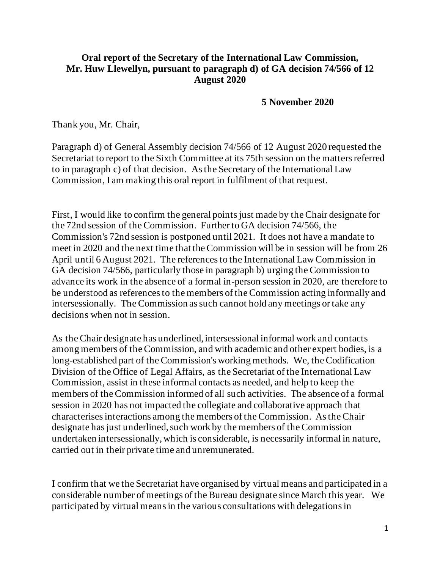## **Oral report of the Secretary of the International Law Commission, Mr. Huw Llewellyn, pursuant to paragraph d) of GA decision 74/566 of 12 August 2020**

**5 November 2020**

Thank you, Mr. Chair,

Paragraph d) of General Assembly decision 74/566 of 12 August 2020 requested the Secretariat to report to the Sixth Committee at its 75th session on the matters referred to in paragraph c) of that decision. Asthe Secretary of the International Law Commission, I am making this oral report in fulfilment of that request.

First, I would like to confirm the general points just made by the Chair designate for the 72nd session of the Commission. Further to GA decision 74/566, the Commission's 72nd session is postponed until 2021. It does not have a mandate to meet in 2020 and the next time that the Commission will be in session will be from 26 April until 6 August 2021. The referencesto the International Law Commission in GA decision 74/566, particularly those in paragraph b) urging the Commission to advance its work in the absence of a formal in-person session in 2020, are therefore to be understood as referencesto the members of the Commission acting informally and intersessionally. The Commission assuch cannot hold any meetings or take any decisions when not in session.

As the Chair designate has underlined, intersessional informal work and contacts among members of the Commission, and with academic and other expert bodies, is a long-established part of the Commission's working methods. We, the Codification Division of the Office of Legal Affairs, as the Secretariat of the International Law Commission, assist in these informal contacts as needed, and help to keep the members of the Commission informed of all such activities. The absence of a formal session in 2020 has not impacted the collegiate and collaborative approach that characterisesinteractions among the members of the Commission. Asthe Chair designate has just underlined, such work by the members of the Commission undertaken intersessionally, which is considerable, is necessarily informal in nature, carried out in their private time and unremunerated.

I confirm that we the Secretariat have organised by virtual means and participated in a considerable number of meetings ofthe Bureau designate since March this year. We participated by virtual meansin the various consultations with delegationsin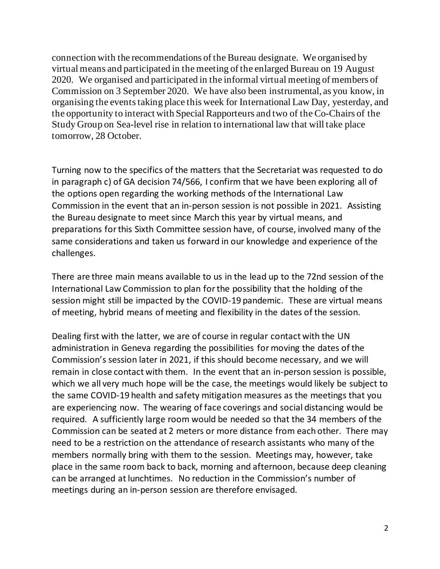connection with the recommendations of the Bureau designate. We organised by virtual means and participated in the meeting of the enlarged Bureau on 19 August 2020. We organised and participated in the informal virtual meeting of members of Commission on 3 September 2020. We have also been instrumental, as you know, in organising the eventstaking place this week for International Law Day, yesterday, and the opportunity to interact with Special Rapporteurs and two of the Co-Chairs of the Study Group on Sea-level rise in relation to international law that will take place tomorrow, 28 October.

Turning now to the specifics of the matters that the Secretariat was requested to do in paragraph c) of GA decision 74/566, I confirm that we have been exploring all of the options open regarding the working methods of the International Law Commission in the event that an in-person session is not possible in 2021. Assisting the Bureau designate to meet since March this year by virtual means, and preparations for this Sixth Committee session have, of course, involved many of the same considerations and taken us forward in our knowledge and experience of the challenges.

There are three main means available to us in the lead up to the 72nd session of the International Law Commission to plan for the possibility that the holding of the session might still be impacted by the COVID-19 pandemic. These are virtual means of meeting, hybrid means of meeting and flexibility in the dates of the session.

Dealing first with the latter, we are of course in regular contact with the UN administration in Geneva regarding the possibilities for moving the dates of the Commission's session later in 2021, if this should become necessary, and we will remain in close contact with them. In the event that an in-person session is possible, which we all very much hope will be the case, the meetings would likely be subject to the same COVID-19 health and safety mitigation measures as the meetings that you are experiencing now. The wearing of face coverings and social distancing would be required. A sufficiently large room would be needed so that the 34 members of the Commission can be seated at 2 meters or more distance from each other. There may need to be a restriction on the attendance of research assistants who many of the members normally bring with them to the session. Meetings may, however, take place in the same room back to back, morning and afternoon, because deep cleaning can be arranged at lunchtimes. No reduction in the Commission's number of meetings during an in-person session are therefore envisaged.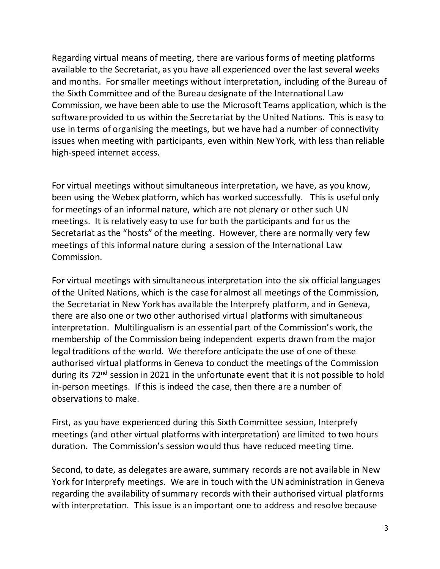Regarding virtual means of meeting, there are various forms of meeting platforms available to the Secretariat, as you have all experienced over the last several weeks and months. For smaller meetings without interpretation, including of the Bureau of the Sixth Committee and of the Bureau designate of the International Law Commission, we have been able to use the Microsoft Teams application, which is the software provided to us within the Secretariat by the United Nations. This is easy to use in terms of organising the meetings, but we have had a number of connectivity issues when meeting with participants, even within New York, with less than reliable high-speed internet access.

For virtual meetings without simultaneous interpretation, we have, as you know, been using the Webex platform, which has worked successfully. This is useful only for meetings of an informal nature, which are not plenary or other such UN meetings. It is relatively easy to use for both the participants and for us the Secretariat as the "hosts" of the meeting. However, there are normally very few meetings of this informal nature during a session of the International Law Commission.

For virtual meetings with simultaneous interpretation into the six official languages of the United Nations, which is the case for almost all meetings of the Commission, the Secretariat in New York has available the Interprefy platform, and in Geneva, there are also one or two other authorised virtual platforms with simultaneous interpretation. Multilingualism is an essential part of the Commission's work, the membership of the Commission being independent experts drawn from the major legal traditions of the world. We therefore anticipate the use of one of these authorised virtual platforms in Geneva to conduct the meetings of the Commission during its 72<sup>nd</sup> session in 2021 in the unfortunate event that it is not possible to hold in-person meetings. If this is indeed the case, then there are a number of observations to make.

First, as you have experienced during this Sixth Committee session, Interprefy meetings (and other virtual platforms with interpretation) are limited to two hours duration. The Commission's session would thus have reduced meeting time.

Second, to date, as delegates are aware, summary records are not available in New York for Interprefy meetings. We are in touch with the UN administration in Geneva regarding the availability of summary records with their authorised virtual platforms with interpretation. This issue is an important one to address and resolve because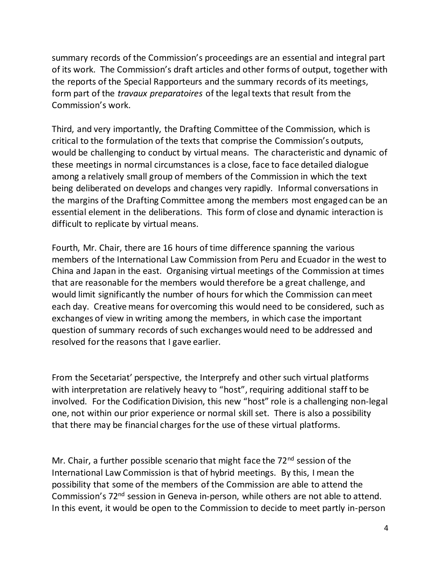summary records of the Commission's proceedings are an essential and integral part of its work. The Commission's draft articles and other forms of output, together with the reports of the Special Rapporteurs and the summary records of its meetings, form part of the *travaux preparatoires* of the legal texts that result from the Commission's work.

Third, and very importantly, the Drafting Committee of the Commission, which is critical to the formulation of the texts that comprise the Commission's outputs, would be challenging to conduct by virtual means. The characteristic and dynamic of these meetings in normal circumstances is a close, face to face detailed dialogue among a relatively small group of members of the Commission in which the text being deliberated on develops and changes very rapidly. Informal conversations in the margins of the Drafting Committee among the members most engaged can be an essential element in the deliberations. This form of close and dynamic interaction is difficult to replicate by virtual means.

Fourth, Mr. Chair, there are 16 hours of time difference spanning the various members of the International Law Commission from Peru and Ecuador in the west to China and Japan in the east. Organising virtual meetings of the Commission at times that are reasonable for the members would therefore be a great challenge, and would limit significantly the number of hours for which the Commission can meet each day. Creative means for overcoming this would need to be considered, such as exchanges of view in writing among the members, in which case the important question of summary records of such exchanges would need to be addressed and resolved for the reasons that I gave earlier.

From the Secetariat' perspective, the Interprefy and other such virtual platforms with interpretation are relatively heavy to "host", requiring additional staff to be involved. For the Codification Division, this new "host" role is a challenging non-legal one, not within our prior experience or normal skill set. There is also a possibility that there may be financial charges for the use of these virtual platforms.

Mr. Chair, a further possible scenario that might face the 72<sup>nd</sup> session of the International Law Commission is that of hybrid meetings. By this, I mean the possibility that some of the members of the Commission are able to attend the Commission's 72nd session in Geneva in-person, while others are not able to attend. In this event, it would be open to the Commission to decide to meet partly in-person